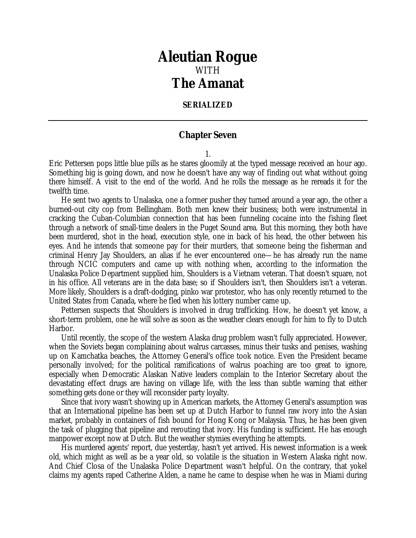## *Aleutian Rogue* WITH *The Amanat*

## **SERIALIZED**

## **Chapter Seven**

1.

Eric Pettersen pops little blue pills as he stares gloomily at the typed message received an hour ago. Something big is going down, and now he doesn't have any way of finding out what without going there himself. A visit to the end of the world. And he rolls the message as he rereads it for the twelfth time.

He sent two agents to Unalaska, one a former pusher they turned around a year ago, the other a burned-out city cop from Bellingham. Both men knew their business; both were instrumental in cracking the Cuban-Columbian connection that has been funneling cocaine into the fishing fleet through a network of small-time dealers in the Puget Sound area. But this morning, they both have been murdered, shot in the head, execution style, one in back of his head, the other between his eyes. And he intends that someone pay for their murders, that someone being the fisherman and criminal Henry Jay Shoulders, an alias if he ever encountered one—he has already run the name through NCIC computers and came up with nothing when, according to the information the Unalaska Police Department supplied him, Shoulders is a Vietnam veteran. That doesn't square, not in his office. All veterans are in the data base; so if Shoulders isn't, then Shoulders isn't a veteran. More likely, Shoulders is a draft-dodging, pinko war protestor, who has only recently returned to the United States from Canada, where he fled when his lottery number came up.

Pettersen suspects that Shoulders is involved in drug trafficking. How, he doesn't yet know, a short-term problem, one he will solve as soon as the weather clears enough for him to fly to Dutch Harbor.

Until recently, the scope of the western Alaska drug problem wasn't fully appreciated. However, when the Soviets began complaining about walrus carcasses, minus their tusks and penises, washing up on Kamchatka beaches, the Attorney General's office took notice. Even the President became personally involved; for the political ramifications of walrus poaching are too great to ignore, especially when Democratic Alaskan Native leaders complain to the Interior Secretary about the devastating effect drugs are having on village life, with the less than subtle warning that either something gets done or they will reconsider party loyalty.

Since that ivory wasn't showing up in American markets, the Attorney General's assumption was that an International pipeline has been set up at Dutch Harbor to funnel raw ivory into the Asian market, probably in containers of fish bound for Hong Kong or Malaysia. Thus, he has been given the task of plugging that pipeline and rerouting that ivory. His funding is sufficient. He has enough manpower except now at Dutch. But the weather stymies everything he attempts.

His murdered agents' report, due yesterday, hasn't yet arrived. His newest information is a week old, which might as well as be a year old, so volatile is the situation in Western Alaska right now. And Chief Closa of the Unalaska Police Department wasn't helpful. On the contrary, that yokel claims my agents raped Catherine Alden, a name he came to despise when he was in Miami during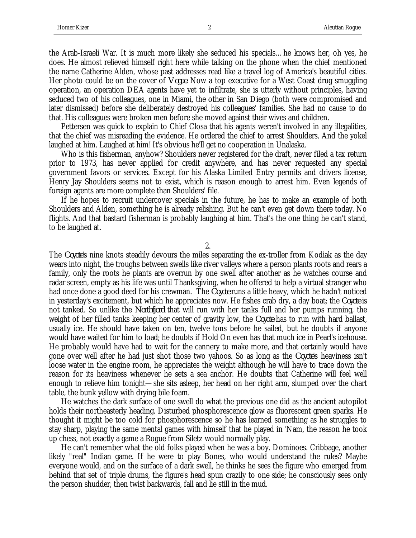the Arab-Israeli War. It is much more likely she seduced his specials…he knows her, oh yes, he does. He almost relieved himself right here while talking on the phone when the chief mentioned the name Catherine Alden, whose past addresses read like a travel log of America's beautiful cities. Her photo could be on the cover of *Vogue*. Now a top executive for a West Coast drug smuggling operation, an operation DEA agents have yet to infiltrate, she is utterly without principles, having seduced two of his colleagues, one in Miami, the other in San Diego (both were compromised and later dismissed) before she deliberately destroyed his colleagues' families. She had no cause to do that. His colleagues were broken men before she moved against their wives and children.

Pettersen was quick to explain to Chief Closa that his agents weren't involved in any illegalities, that the chief was misreading the evidence. He ordered the chief to arrest Shoulders. And the yokel laughed at him. Laughed at him! It's obvious he'll get no cooperation in Unalaska.

Who is this fisherman, anyhow? Shoulders never registered for the draft, never filed a tax return prior to 1973, has never applied for credit anywhere, and has never requested any special government favors or services. Except for his Alaska Limited Entry permits and drivers license, Henry Jay Shoulders seems not to exist, which is reason enough to arrest him. Even legends of foreign agents are more complete than Shoulders' file.

If he hopes to recruit undercover specials in the future, he has to make an example of both Shoulders and Alden, something he is already relishing. But he can't even get down there today. No flights. And that bastard fisherman is probably laughing at him. That's the one thing he can't stand, to be laughed at.

2.

The *Coyote*'s nine knots steadily devours the miles separating the ex-troller from Kodiak as the day wears into night, the troughs between swells like river valleys where a person plants roots and rears a family, only the roots he plants are overrun by one swell after another as he watches course and radar screen, empty as his life was until Thanksgiving, when he offered to help a virtual stranger who had once done a good deed for his crewman. The *Coyote* runs a little heavy, which he hadn't noticed in yesterday's excitement, but which he appreciates now. He fishes crab dry, a day boat; the *Coyote* is not tanked. So unlike the *Northfjord* that will run with her tanks full and her pumps running, the weight of her filled tanks keeping her center of gravity low, the *Coyote* has to run with hard ballast, usually ice. He should have taken on ten, twelve tons before he sailed, but he doubts if anyone would have waited for him to load; he doubts if Hold On even has that much ice in Pearl's icehouse. He probably would have had to wait for the cannery to make more, and that certainly would have gone over well after he had just shot those two yahoos. So as long as the *Coyote*'s heaviness isn't loose water in the engine room, he appreciates the weight although he will have to trace down the reason for its heaviness whenever he sets a sea anchor. He doubts that Catherine will feel well enough to relieve him tonight—she sits asleep, her head on her right arm, slumped over the chart table, the bunk yellow with drying bile foam.

He watches the dark surface of one swell do what the previous one did as the ancient autopilot holds their northeasterly heading. Disturbed phosphorescence glow as fluorescent green sparks. He thought it might be too cold for phosphorescence so he has learned something as he struggles to stay sharp, playing the same mental games with himself that he played in 'Nam, the reason he took up chess, not exactly a game a Rogue from Siletz would normally play.

He can't remember what the old folks played when he was a boy. Dominoes. Cribbage, another likely "real" Indian game. If he were to play Bones, who would understand the rules? Maybe everyone would, and on the surface of a dark swell, he thinks he sees the figure who emerged from behind that set of triple drums, the figure's head spun crazily to one side; he consciously sees only the person shudder, then twist backwards, fall and lie still in the mud.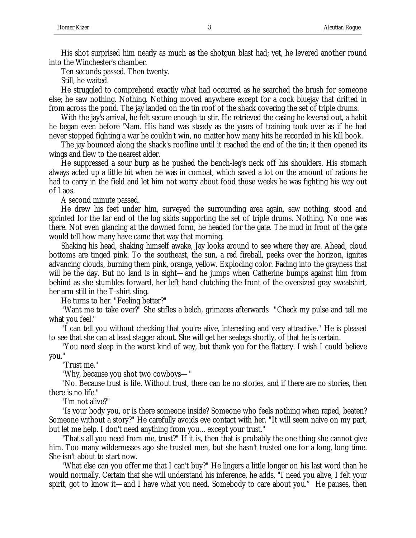His shot surprised him nearly as much as the shotgun blast had; yet, he levered another round into the Winchester's chamber.

Ten seconds passed. Then twenty.

Still, he waited.

He struggled to comprehend exactly what had occurred as he searched the brush for someone else; he saw nothing. Nothing. Nothing moved anywhere except for a cock bluejay that drifted in from across the pond. The jay landed on the tin roof of the shack covering the set of triple drums.

With the jay's arrival, he felt secure enough to stir. He retrieved the casing he levered out, a habit he began even before 'Nam. His hand was steady as the years of training took over as if he had never stopped fighting a war he couldn't win, no matter how many hits he recorded in his kill book.

The jay bounced along the shack's roofline until it reached the end of the tin; it then opened its wings and flew to the nearest alder.

He suppressed a sour burp as he pushed the bench-leg's neck off his shoulders. His stomach always acted up a little bit when he was in combat, which saved a lot on the amount of rations he had to carry in the field and let him not worry about food those weeks he was fighting his way out of Laos.

A second minute passed.

He drew his feet under him, surveyed the surrounding area again, saw nothing, stood and sprinted for the far end of the log skids supporting the set of triple drums. Nothing. No one was there. Not even glancing at the downed form, he headed for the gate. The mud in front of the gate would tell how many have came that way that morning.

Shaking his head, shaking himself awake, Jay looks around to see where they are. Ahead, cloud bottoms are tinged pink. To the southeast, the sun, a red fireball, peeks over the horizon, ignites advancing clouds, burning them pink, orange, yellow. Exploding color. Fading into the grayness that will be the day. But no land is in sight—and he jumps when Catherine bumps against him from behind as she stumbles forward, her left hand clutching the front of the oversized gray sweatshirt, her arm still in the T-shirt sling.

He turns to her. "Feeling better?"

"Want me to take over?" She stifles a belch, grimaces afterwards "Check my pulse and tell me what you feel."

"I can tell you without checking that you're alive, interesting and very attractive." He is pleased to see that she can at least stagger about. She will get her sealegs shortly, of that he is certain.

"You need sleep in the worst kind of way, but thank you for the flattery. I wish I could believe you."

"Trust me."

"Why, because you shot two cowboys—"

"No. Because trust is life. Without trust, there can be no stories, and if there are no stories, then there is no life."

"I'm not alive?"

"Is your body you, or is there someone inside? Someone who feels nothing when raped, beaten? Someone without a story?" He carefully avoids eye contact with her. "It will seem naive on my part, but let me help. I don't need anything from you…except your trust."

"That's all you need from me, trust?" If it is, then that is probably the one thing she cannot give him. Too many wildernesses ago she trusted men, but she hasn't trusted one for a long, long time. She isn't about to start now.

"What else can you offer me that I can't buy?" He lingers a little longer on his last word than he would normally. Certain that she will understand his inference, he adds, "I need you alive, I felt your spirit, got to know it—and I have what you need. Somebody to care about you." He pauses, then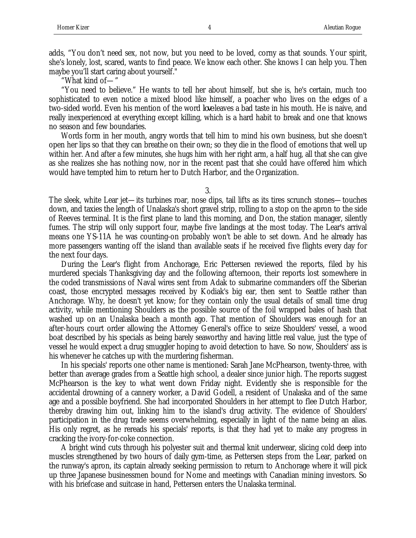adds, "You don't need sex, not now, but you need to be loved, corny as that sounds. Your spirit, she's lonely, lost, scared, wants to find peace. We know each other. She knows I can help you. Then maybe you'll start caring about yourself."

"What kind of—"

"You need to believe." He wants to tell her about himself, but she is, he's certain, much too sophisticated to even notice a mixed blood like himself, a poacher who lives on the edges of a two-sided world. Even his mention of the word *love* leaves a bad taste in his mouth. He is naive, and really inexperienced at everything except killing, which is a hard habit to break and one that knows no season and few boundaries.

Words form in her mouth, angry words that tell him to mind his own business, but she doesn't open her lips so that they can breathe on their own; so they die in the flood of emotions that well up within her. And after a few minutes, she hugs him with her right arm, a half hug, all that she can give as she realizes she has nothing now, nor in the recent past that she could have offered him which would have tempted him to return her to Dutch Harbor, and the Organization.

3.

The sleek, white Lear jet—its turbines roar, nose dips, tail lifts as its tires scrunch stones—touches down, and taxies the length of Unalaska's short gravel strip, rolling to a stop on the apron to the side of Reeves terminal. It is the first plane to land this morning, and Don, the station manager, silently fumes. The strip will only support four, maybe five landings at the most today. The Lear's arrival means one YS-11A he was counting-on probably won't be able to set down. And he already has more passengers wanting off the island than available seats if he received five flights every day for the next four days.

During the Lear's flight from Anchorage, Eric Pettersen reviewed the reports, filed by his murdered specials Thanksgiving day and the following afternoon, their reports lost somewhere in the coded transmissions of Naval wires sent from Adak to submarine commanders off the Siberian coast, those encrypted messages received by Kodiak's big ear, then sent to Seattle rather than Anchorage. Why, he doesn't yet know; for they contain only the usual details of small time drug activity, while mentioning Shoulders as the possible source of the foil wrapped bales of hash that washed up on an Unalaska beach a month ago. That mention of Shoulders was enough for an after-hours court order allowing the Attorney General's office to seize Shoulders' vessel, a wood boat described by his specials as being barely seaworthy and having little real value, just the type of vessel he would expect a drug smuggler hoping to avoid detection to have. So now, Shoulders' ass is his whenever he catches up with the murdering fisherman.

In his specials' reports one other name is mentioned: Sarah Jane McPhearson, twenty-three, with better than average grades from a Seattle high school, a dealer since junior high. The reports suggest McPhearson is the key to what went down Friday night. Evidently she is responsible for the accidental drowning of a cannery worker, a David Godell, a resident of Unalaska and of the same age and a possible boyfriend. She had incorporated Shoulders in her attempt to flee Dutch Harbor, thereby drawing him out, linking him to the island's drug activity. The evidence of Shoulders' participation in the drug trade seems overwhelming, especially in light of the name being an alias. His only regret, as he rereads his specials' reports, is that they had yet to make any progress in cracking the ivory-for-coke connection.

A bright wind cuts through his polyester suit and thermal knit underwear, slicing cold deep into muscles strengthened by two hours of daily gym-time, as Pettersen steps from the Lear, parked on the runway's apron, its captain already seeking permission to return to Anchorage where it will pick up three Japanese businessmen bound for Nome and meetings with Canadian mining investors. So with his briefcase and suitcase in hand, Pettersen enters the Unalaska terminal.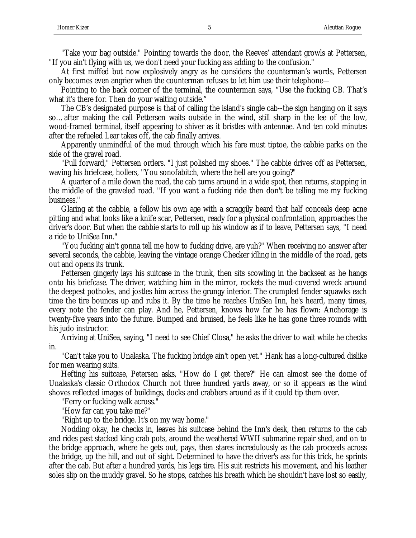"Take your bag outside." Pointing towards the door, the Reeves' attendant growls at Pettersen, "If you ain't flying with us, we don't need your fucking ass adding to the confusion."

At first miffed but now explosively angry as he considers the counterman's words, Pettersen only becomes even angrier when the counterman refuses to let him use their telephone—

Pointing to the back corner of the terminal, the counterman says, "Use the fucking CB. That's what it's there for. Then do your waiting outside."

The CB's designated purpose is that of calling the island's single cab--the sign hanging on it says so…after making the call Pettersen waits outside in the wind, still sharp in the lee of the low, wood-framed terminal, itself appearing to shiver as it bristles with antennae. And ten cold minutes after the refueled Lear takes off, the cab finally arrives.

Apparently unmindful of the mud through which his fare must tiptoe, the cabbie parks on the side of the gravel road.

"Pull forward," Pettersen orders. "I just polished my shoes." The cabbie drives off as Pettersen, waving his briefcase, hollers, "You sonofabitch, where the hell are you going?"

A quarter of a mile down the road, the cab turns around in a wide spot, then returns, stopping in the middle of the graveled road. "If you want a fucking ride then don't be telling me my fucking business."

Glaring at the cabbie, a fellow his own age with a scraggily beard that half conceals deep acne pitting and what looks like a knife scar, Pettersen, ready for a physical confrontation, approaches the driver's door. But when the cabbie starts to roll up his window as if to leave, Pettersen says, "I need a ride to UniSea Inn."

"You fucking ain't gonna tell me how to fucking drive, are yuh?" When receiving no answer after several seconds, the cabbie, leaving the vintage orange Checker idling in the middle of the road, gets out and opens its trunk.

Pettersen gingerly lays his suitcase in the trunk, then sits scowling in the backseat as he hangs onto his briefcase. The driver, watching him in the mirror, rockets the mud-covered wreck around the deepest potholes, and jostles him across the grungy interior. The crumpled fender squawks each time the tire bounces up and rubs it. By the time he reaches UniSea Inn, he's heard, many times, every note the fender can play. And he, Pettersen, knows how far he has flown: Anchorage is twenty-five years into the future. Bumped and bruised, he feels like he has gone three rounds with his judo instructor.

Arriving at UniSea, saying, "I need to see Chief Closa," he asks the driver to wait while he checks in.

"Can't take you to Unalaska. The fucking bridge ain't open yet." Hank has a long-cultured dislike for men wearing suits.

Hefting his suitcase, Petersen asks, "How do I get there?" He can almost see the dome of Unalaska's classic Orthodox Church not three hundred yards away, or so it appears as the wind shoves reflected images of buildings, docks and crabbers around as if it could tip them over.

"Ferry or fucking walk across."

"How far can you take me?"

"Right up to the bridge. It's on my way home."

Nodding okay, he checks in, leaves his suitcase behind the Inn's desk, then returns to the cab and rides past stacked king crab pots, around the weathered WWII submarine repair shed, and on to the bridge approach, where he gets out, pays, then stares incredulously as the cab proceeds across the bridge, up the hill, and out of sight. Determined to have the driver's ass for this trick, he sprints after the cab. But after a hundred yards, his legs tire. His suit restricts his movement, and his leather soles slip on the muddy gravel. So he stops, catches his breath which he shouldn't have lost so easily,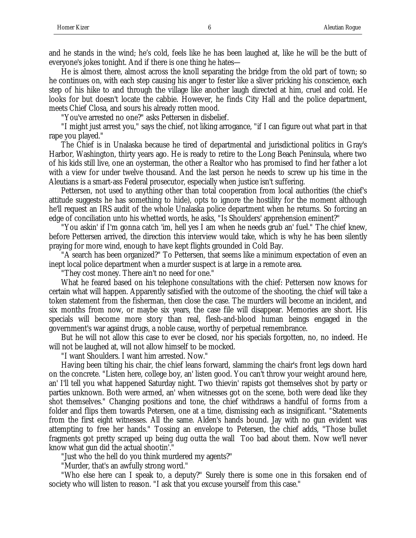and he stands in the wind; he's cold, feels like he has been laughed at, like he will be the butt of everyone's jokes tonight. And if there is one thing he hates—

He is almost there, almost across the knoll separating the bridge from the old part of town; so he continues on, with each step causing his anger to fester like a sliver pricking his conscience, each step of his hike to and through the village like another laugh directed at him, cruel and cold. He looks for but doesn't locate the cabbie. However, he finds City Hall and the police department, meets Chief Closa, and sours his already rotten mood.

"You've arrested no one?" asks Pettersen in disbelief.

"I might just arrest you," says the chief, not liking arrogance, "if I can figure out what part in that rape you played."

The Chief is in Unalaska because he tired of departmental and jurisdictional politics in Gray's Harbor, Washington, thirty years ago. He is ready to retire to the Long Beach Peninsula, where two of his kids still live, one an oysterman, the other a Realtor who has promised to find her father a lot with a view for under twelve thousand. And the last person he needs to screw up his time in the Aleutians is a smart-ass Federal prosecutor, especially when justice isn't suffering.

Pettersen, not used to anything other than total cooperation from local authorities (the chief's attitude suggests he has something to hide), opts to ignore the hostility for the moment although he'll request an IRS audit of the whole Unalaska police department when he returns. So forcing an edge of conciliation unto his whetted words, he asks, "Is Shoulders' apprehension eminent?"

"You askin' if I'm gonna catch 'im, hell yes I am when he needs grub an' fuel." The chief knew, before Pettersen arrived, the direction this interview would take, which is why he has been silently praying for more wind, enough to have kept flights grounded in Cold Bay.

"A search has been organized?" To Pettersen, that seems like a minimum expectation of even an inept local police department when a murder suspect is at large in a remote area.

"They cost money. There ain't no need for one."

What he feared based on his telephone consultations with the chief: Pettersen now knows for certain what will happen. Apparently satisfied with the outcome of the shooting, the chief will take a token statement from the fisherman, then close the case. The murders will become an incident, and six months from now, or maybe six years, the case file will disappear. Memories are short. His specials will become more story than real, flesh-and-blood human beings engaged in the government's war against drugs, a noble cause, worthy of perpetual remembrance.

But he will not allow this case to ever be closed, nor his specials forgotten, no, no indeed. He will not be laughed at, will not allow himself to be mocked.

"I want Shoulders. I want him arrested. Now."

Having been tilting his chair, the chief leans forward, slamming the chair's front legs down hard on the concrete. "Listen here, college boy, an' listen good. You can't throw your weight around here, an' I'll tell you what happened Saturday night. Two thievin' rapists got themselves shot by party or parties unknown. Both were armed, an' when witnesses got on the scene, both were dead like they shot themselves." Changing positions and tone, the chief withdraws a handful of forms from a folder and flips them towards Petersen, one at a time, dismissing each as insignificant. "Statements from the first eight witnesses. All the same. Alden's hands bound. Jay with no gun evident was attempting to free her hands." Tossing an envelope to Petersen, the chief adds, "Those bullet fragments got pretty scraped up being dug outta the wall Too bad about them. Now we'll never know what gun did the actual shootin'.'

"Just who the hell do you think murdered my agents?"

"Murder, that's an awfully strong word."

"Who else here can I speak to, a deputy?" Surely there is some one in this forsaken end of society who will listen to reason. "I ask that you excuse yourself from this case."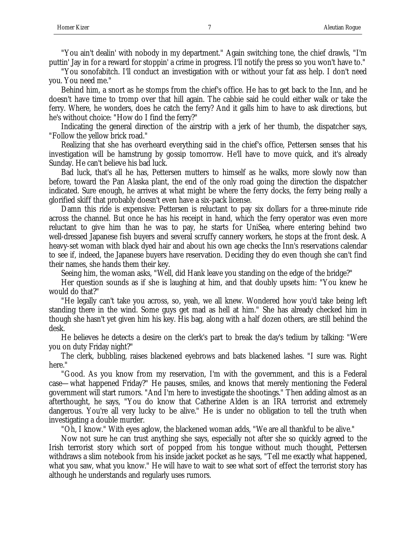"You ain't dealin' with nobody in my department." Again switching tone, the chief drawls, "I'm puttin' Jay in for a reward for stoppin' a crime in progress. I'll notify the press so you won't have to."

"You sonofabitch. I'll conduct an investigation with or without your fat ass help. I don't need you. You need me."

Behind him, a snort as he stomps from the chief's office. He has to get back to the Inn, and he doesn't have time to tromp over that hill again. The cabbie said he could either walk or take the ferry. Where, he wonders, does he catch the ferry? And it galls him to have to ask directions, but he's without choice: "How do I find the ferry?"

Indicating the general direction of the airstrip with a jerk of her thumb, the dispatcher says, "Follow the yellow brick road."

Realizing that she has overheard everything said in the chief's office, Pettersen senses that his investigation will be hamstrung by gossip tomorrow. He'll have to move quick, and it's already Sunday. He can't believe his bad luck.

Bad luck, that's all he has, Pettersen mutters to himself as he walks, more slowly now than before, toward the Pan Alaska plant, the end of the only road going the direction the dispatcher indicated. Sure enough, he arrives at what might be where the ferry docks, the ferry being really a glorified skiff that probably doesn't even have a six-pack license.

Damn this ride is expensive: Pettersen is reluctant to pay six dollars for a three-minute ride across the channel. But once he has his receipt in hand, which the ferry operator was even more reluctant to give him than he was to pay, he starts for UniSea, where entering behind two well-dressed Japanese fish buyers and several scruffy cannery workers, he stops at the front desk. A heavy-set woman with black dyed hair and about his own age checks the Inn's reservations calendar to see if, indeed, the Japanese buyers have reservation. Deciding they do even though she can't find their names, she hands them their key.

Seeing him, the woman asks, "Well, did Hank leave you standing on the edge of the bridge?"

Her question sounds as if she is laughing at him, and that doubly upsets him: "You knew he would do that?"

"He legally can't take you across, so, yeah, we all knew. Wondered how you'd take being left standing there in the wind. Some guys get mad as hell at him." She has already checked him in though she hasn't yet given him his key. His bag, along with a half dozen others, are still behind the desk.

He believes he detects a desire on the clerk's part to break the day's tedium by talking: "Were you on duty Friday night?"

The clerk, bubbling, raises blackened eyebrows and bats blackened lashes. "I sure was. Right here."

"Good. As you know from my reservation, I'm with the government, and this is a Federal case—what happened Friday?" He pauses, smiles, and knows that merely mentioning the Federal government will start rumors. "And I'm here to investigate the shootings." Then adding almost as an afterthought, he says, "You do know that Catherine Alden is an IRA terrorist and extremely dangerous. You're all very lucky to be alive." He is under no obligation to tell the truth when investigating a double murder.

"Oh, I know." With eyes aglow, the blackened woman adds, "We are all thankful to be alive."

Now not sure he can trust anything she says, especially not after she so quickly agreed to the Irish terrorist story which sort of popped from his tongue without much thought, Pettersen withdraws a slim notebook from his inside jacket pocket as he says, "Tell me exactly what happened, what you saw, what you know." He will have to wait to see what sort of effect the terrorist story has although he understands and regularly uses rumors.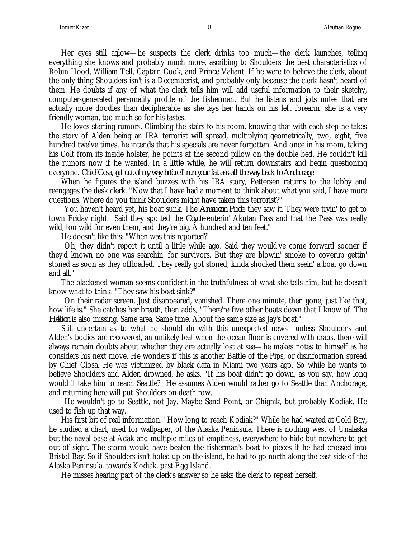Her eyes still aglow—he suspects the clerk drinks too much—the clerk launches, telling everything she knows and probably much more, ascribing to Shoulders the best characteristics of Robin Hood, William Tell, Captain Cook, and Prince Valiant. If he were to believe the clerk, about the only thing Shoulders isn't is a Decemberist, and probably only because the clerk hasn't heard of them. He doubts if any of what the clerk tells him will add useful information to their sketchy, computer-generated personality profile of the fisherman. But he listens and jots notes that are actually more doodles than decipherable as she lays her hands on his left forearm: she is a very friendly woman, too much so for his tastes.

He loves starting rumors. Climbing the stairs to his room, knowing that with each step he takes the story of Alden being an IRA terrorist will spread, multiplying geometrically, two, eight, five hundred twelve times, he intends that his specials are never forgotten. And once in his room, taking his Colt from its inside holster, he points at the second pillow on the double bed. He couldn't kill the rumors now if he wanted. In a little while, he will return downstairs and begin questioning everyone. *Chief Cosa, get out of my way before I run your fat ass all the way back to Anchorage*.

When he figures the island buzzes with his IRA story, Pettersen returns to the lobby and reengages the desk clerk. "Now that I have had a moment to think about what you said, I have more questions. Where do you think Shoulders might have taken this terrorist?"

"You haven't heard yet, his boat sunk. The *American Pride*, they saw it. They were tryin' to get to town Friday night. Said they spotted the *Coyote* enterin' Akutan Pass and that the Pass was really wild, too wild for even them, and they're big. A hundred and ten feet."

He doesn't like this: "When was this reported?"

"Oh, they didn't report it until a little while ago. Said they would've come forward sooner if they'd known no one was searchin' for survivors. But they are blowin' smoke to coverup gettin' stoned as soon as they offloaded. They really got stoned, kinda shocked them seein' a boat go down and all."

The blackened woman seems confident in the truthfulness of what she tells him, but he doesn't know what to think: "They saw his boat sink?"

"On their radar screen. Just disappeared, vanished. There one minute, then gone, just like that, how life is." She catches her breath, then adds, "There're five other boats down that I know of. The *Hellion* is also missing. Same area. Same time. About the same size as Jay's boat."

Still uncertain as to what he should do with this unexpected news—unless Shoulder's and Alden's bodies are recovered, an unlikely feat when the ocean floor is covered with crabs, there will always remain doubts about whether they are actually lost at sea—he makes notes to himself as he considers his next move. He wonders if this is another Battle of the Pips, or disinformation spread by Chief Closa. He was victimized by black data in Miami two years ago. So while he wants to believe Shoulders and Alden drowned, he asks, "If his boat didn't go down, as you say, how long would it take him to reach Seattle?" He assumes Alden would rather go to Seattle than Anchorage, and returning here will put Shoulders on death row.

"He wouldn't go to Seattle, not Jay. Maybe Sand Point, or Chignik, but probably Kodiak. He used to fish up that way."

His first bit of real information. "How long to reach Kodiak?" While he had waited at Cold Bay, he studied a chart, used for wallpaper, of the Alaska Peninsula. There is nothing west of Unalaska but the naval base at Adak and multiple miles of emptiness, everywhere to hide but nowhere to get out of sight. The storm would have beaten the fisherman's boat to pieces if he had crossed into Bristol Bay. So if Shoulders isn't holed up on the island, he had to go north along the east side of the Alaska Peninsula, towards Kodiak, past Egg Island.

He misses hearing part of the clerk's answer so he asks the clerk to repeat herself.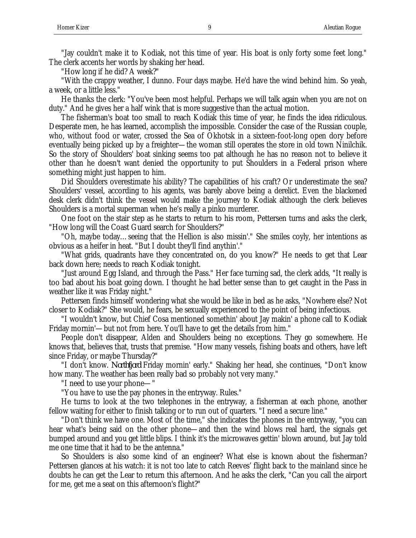"Jay couldn't make it to Kodiak, not this time of year. His boat is only forty some feet long." The clerk accents her words by shaking her head.

"How long if he did? A week?"

"With the crappy weather, I dunno. Four days maybe. He'd have the wind behind him. So yeah, a week, or a little less."

He thanks the clerk: "You've been most helpful. Perhaps we will talk again when you are not on duty." And he gives her a half wink that is more suggestive than the actual motion.

The fisherman's boat too small to reach Kodiak this time of year, he finds the idea ridiculous. Desperate men, he has learned, accomplish the impossible. Consider the case of the Russian couple, who, without food or water, crossed the Sea of Okhotsk in a sixteen-foot-long open dory before eventually being picked up by a freighter—the woman still operates the store in old town Ninilchik. So the story of Shoulders' boat sinking seems too pat although he has no reason not to believe it other than he doesn't want denied the opportunity to put Shoulders in a Federal prison where something might just happen to him.

Did Shoulders overestimate his ability? The capabilities of his craft? Or underestimate the sea? Shoulders' vessel, according to his agents, was barely above being a derelict. Even the blackened desk clerk didn't think the vessel would make the journey to Kodiak although the clerk believes Shoulders is a mortal superman when he's really a pinko murderer.

One foot on the stair step as he starts to return to his room, Pettersen turns and asks the clerk, "How long will the Coast Guard search for Shoulders?"

"Oh, maybe today…seeing that the Hellion is also missin'." She smiles coyly, her intentions as obvious as a heifer in heat. "But I doubt they'll find anythin'."

"What grids, quadrants have they concentrated on, do you know?" He needs to get that Lear back down here; needs to reach Kodiak tonight.

"Just around Egg Island, and through the Pass." Her face turning sad, the clerk adds, "It really is too bad about his boat going down. I thought he had better sense than to get caught in the Pass in weather like it was Friday night."

Pettersen finds himself wondering what she would be like in bed as he asks, "Nowhere else? Not closer to Kodiak?" She would, he fears, be sexually experienced to the point of being infectious.

"I wouldn't know, but Chief Cosa mentioned somethin' about Jay makin' a phone call to Kodiak Friday mornin'—but not from here. You'll have to get the details from him."

People don't disappear, Alden and Shoulders being no exceptions. They go somewhere. He knows that, believes that, trusts that premise. "How many vessels, fishing boats and others, have left since Friday, or maybe Thursday?"

"I don't know. *Northfjord* Friday mornin' early." Shaking her head, she continues, "Don't know how many. The weather has been really bad so probably not very many."

"I need to use your phone—"

"You have to use the pay phones in the entryway. Rules."

He turns to look at the two telephones in the entryway, a fisherman at each phone, another fellow waiting for either to finish talking or to run out of quarters. "I need a secure line."

"Don't think we have one. Most of the time," she indicates the phones in the entryway, "you can hear what's being said on the other phone—and then the wind blows real hard, the signals get bumped around and you get little blips. I think it's the microwaves gettin' blown around, but Jay told me one time that it had to be the antenna."

So Shoulders is also some kind of an engineer? What else is known about the fisherman? Pettersen glances at his watch: it is not too late to catch Reeves' flight back to the mainland since he doubts he can get the Lear to return this afternoon. And he asks the clerk, "Can you call the airport for me, get me a seat on this afternoon's flight?"